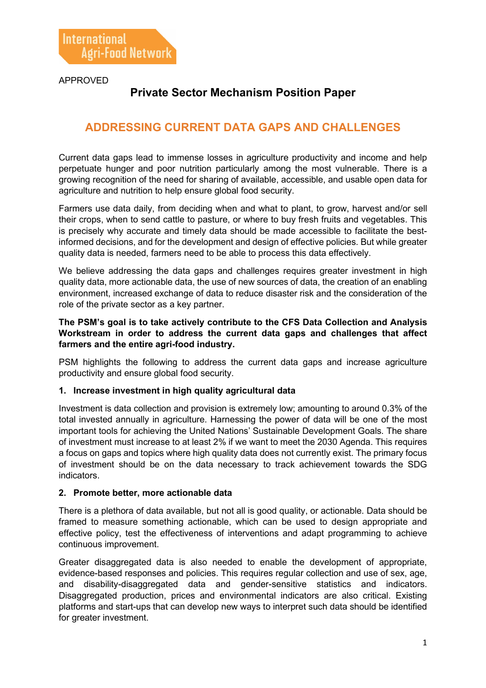APPROVED

# **Private Sector Mechanism Position Paper**

## **ADDRESSING CURRENT DATA GAPS AND CHALLENGES**

Current data gaps lead to immense losses in agriculture productivity and income and help perpetuate hunger and poor nutrition particularly among the most vulnerable. There is a growing recognition of the need for sharing of available, accessible, and usable open data for agriculture and nutrition to help ensure global food security.

Farmers use data daily, from deciding when and what to plant, to grow, harvest and/or sell their crops, when to send cattle to pasture, or where to buy fresh fruits and vegetables. This is precisely why accurate and timely data should be made accessible to facilitate the bestinformed decisions, and for the development and design of effective policies. But while greater quality data is needed, farmers need to be able to process this data effectively.

We believe addressing the data gaps and challenges requires greater investment in high quality data, more actionable data, the use of new sources of data, the creation of an enabling environment, increased exchange of data to reduce disaster risk and the consideration of the role of the private sector as a key partner.

#### **The PSM's goal is to take actively contribute to the CFS Data Collection and Analysis Workstream in order to address the current data gaps and challenges that affect farmers and the entire agri-food industry.**

PSM highlights the following to address the current data gaps and increase agriculture productivity and ensure global food security.

## **1. Increase investment in high quality agricultural data**

Investment is data collection and provision is extremely low; amounting to around 0.3% of the total invested annually in agriculture. Harnessing the power of data will be one of the most important tools for achieving the United Nations' Sustainable Development Goals. The share of investment must increase to at least 2% if we want to meet the 2030 Agenda. This requires a focus on gaps and topics where high quality data does not currently exist. The primary focus of investment should be on the data necessary to track achievement towards the SDG indicators.

#### **2. Promote better, more actionable data**

There is a plethora of data available, but not all is good quality, or actionable. Data should be framed to measure something actionable, which can be used to design appropriate and effective policy, test the effectiveness of interventions and adapt programming to achieve continuous improvement.

Greater disaggregated data is also needed to enable the development of appropriate, evidence-based responses and policies. This requires regular collection and use of sex, age, and disability-disaggregated data and gender-sensitive statistics and indicators. Disaggregated production, prices and environmental indicators are also critical. Existing platforms and start-ups that can develop new ways to interpret such data should be identified for greater investment.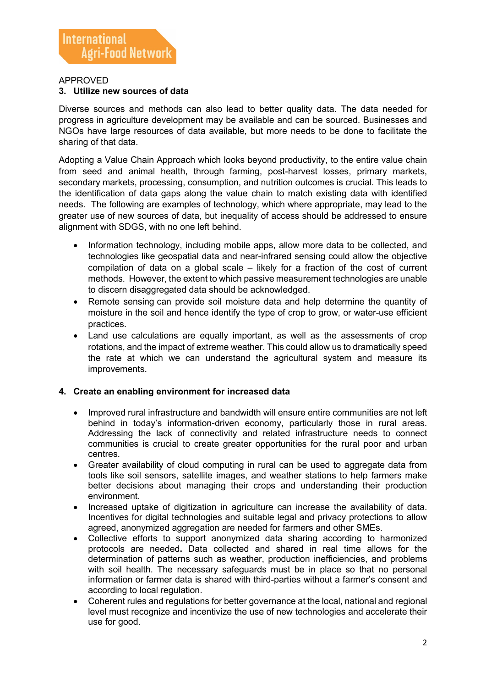#### APPROVED

#### **3. Utilize new sources of data**

Diverse sources and methods can also lead to better quality data. The data needed for progress in agriculture development may be available and can be sourced. Businesses and NGOs have large resources of data available, but more needs to be done to facilitate the sharing of that data.

Adopting a Value Chain Approach which looks beyond productivity, to the entire value chain from seed and animal health, through farming, post-harvest losses, primary markets, secondary markets, processing, consumption, and nutrition outcomes is crucial. This leads to the identification of data gaps along the value chain to match existing data with identified needs. The following are examples of technology, which where appropriate, may lead to the greater use of new sources of data, but inequality of access should be addressed to ensure alignment with SDGS, with no one left behind.

- Information technology, including mobile apps, allow more data to be collected, and technologies like geospatial data and near-infrared sensing could allow the objective compilation of data on a global scale – likely for a fraction of the cost of current methods. However, the extent to which passive measurement technologies are unable to discern disaggregated data should be acknowledged.
- Remote sensing can provide soil moisture data and help determine the quantity of moisture in the soil and hence identify the type of crop to grow, or water-use efficient practices.
- Land use calculations are equally important, as well as the assessments of crop rotations, and the impact of extreme weather. This could allow us to dramatically speed the rate at which we can understand the agricultural system and measure its improvements.

## **4. Create an enabling environment for increased data**

- Improved rural infrastructure and bandwidth will ensure entire communities are not left behind in today's information-driven economy, particularly those in rural areas. Addressing the lack of connectivity and related infrastructure needs to connect communities is crucial to create greater opportunities for the rural poor and urban centres.
- Greater availability of cloud computing in rural can be used to aggregate data from tools like soil sensors, satellite images, and weather stations to help farmers make better decisions about managing their crops and understanding their production environment.
- Increased uptake of digitization in agriculture can increase the availability of data. Incentives for digital technologies and suitable legal and privacy protections to allow agreed, anonymized aggregation are needed for farmers and other SMEs.
- Collective efforts to support anonymized data sharing according to harmonized protocols are needed**.** Data collected and shared in real time allows for the determination of patterns such as weather, production inefficiencies, and problems with soil health. The necessary safeguards must be in place so that no personal information or farmer data is shared with third-parties without a farmer's consent and according to local regulation.
- Coherent rules and regulations for better governance at the local, national and regional level must recognize and incentivize the use of new technologies and accelerate their use for good.